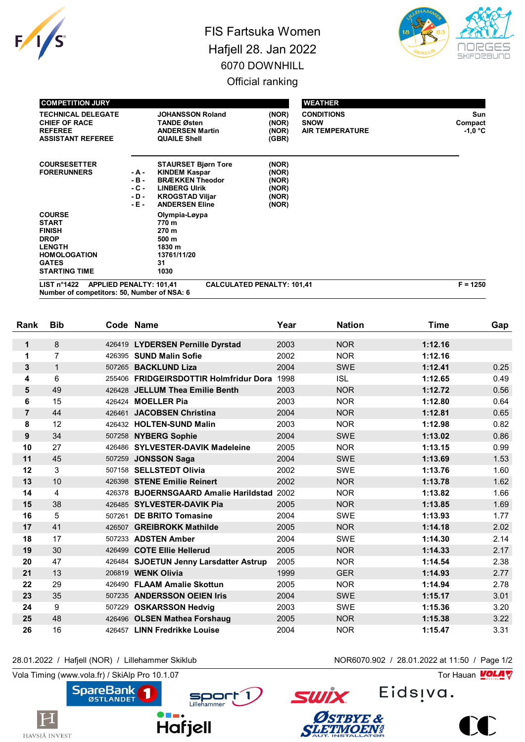

## FIS Fartsuka Women Hafjell 28. Jan 2022 6070 DOWNHILL Official ranking



| <b>COMPETITION JURY</b>                                                                                                                       |                                              |                                                                                                                                                         |                                                    | <b>WEATHER</b>                                             |                                   |
|-----------------------------------------------------------------------------------------------------------------------------------------------|----------------------------------------------|---------------------------------------------------------------------------------------------------------------------------------------------------------|----------------------------------------------------|------------------------------------------------------------|-----------------------------------|
| <b>TECHNICAL DELEGATE</b><br><b>CHIEF OF RACE</b><br><b>REFEREE</b><br><b>ASSISTANT REFEREE</b>                                               |                                              | <b>JOHANSSON Roland</b><br><b>TANDE Østen</b><br><b>ANDERSEN Martin</b><br><b>QUAILE Shell</b>                                                          | (NOR)<br>(NOR)<br>(NOR)<br>(GBR)                   | <b>CONDITIONS</b><br><b>SNOW</b><br><b>AIR TEMPERATURE</b> | Sun<br>Compact<br>$-1,0\degree$ C |
| <b>COURSESETTER</b><br><b>FORERUNNERS</b>                                                                                                     | - A -<br>$-B -$<br>$-C -$<br>- D -<br>$-E -$ | <b>STAURSET Bjørn Tore</b><br><b>KINDEM Kaspar</b><br><b>BRÆKKEN Theodor</b><br><b>LINBERG UIrik</b><br><b>KROGSTAD Viljar</b><br><b>ANDERSEN Eline</b> | (NOR)<br>(NOR)<br>(NOR)<br>(NOR)<br>(NOR)<br>(NOR) |                                                            |                                   |
| <b>COURSE</b><br><b>START</b><br><b>FINISH</b><br><b>DROP</b><br><b>LENGTH</b><br><b>HOMOLOGATION</b><br><b>GATES</b><br><b>STARTING TIME</b> |                                              | Olympia-Løypa<br>770 m<br>270 m<br>500 m<br>1830 m<br>13761/11/20<br>31<br>1030                                                                         |                                                    |                                                            |                                   |
| $1.10T - 04.422$<br>ADDUCD DENALTY. 404 44                                                                                                    |                                              | CALCULATED DENALTY. 404-44                                                                                                                              |                                                    |                                                            | $E = 40E0$                        |

| LIST n°1422 APPLIED PENALTY: 101.41         | <b>CALCULATED PENALTY: 101.41</b> | $F = 1250$ |
|---------------------------------------------|-----------------------------------|------------|
| Number of competitors: 50, Number of NSA: 6 |                                   |            |

| Rank           | <b>Bib</b>     |        | Code Name                                  | Year | <b>Nation</b> | <b>Time</b> | Gap  |
|----------------|----------------|--------|--------------------------------------------|------|---------------|-------------|------|
| 1              | 8              |        | 426419 LYDERSEN Pernille Dyrstad           | 2003 | <b>NOR</b>    | 1:12.16     |      |
| 1              | $\overline{7}$ |        | 426395 SUND Malin Sofie                    | 2002 | <b>NOR</b>    | 1:12.16     |      |
| 3              | $\mathbf{1}$   | 507265 | <b>BACKLUND Liza</b>                       | 2004 | <b>SWE</b>    | 1:12.41     | 0.25 |
| 4              | 6              |        | 255406 FRIDGEIRSDOTTIR Holmfridur Dora     | 1998 | <b>ISL</b>    | 1:12.65     | 0.49 |
| 5              | 49             |        | 426428 JELLUM Thea Emilie Benth            | 2003 | <b>NOR</b>    | 1:12.72     | 0.56 |
| 6              | 15             |        | 426424 <b>MOELLER Pia</b>                  | 2003 | <b>NOR</b>    | 1:12.80     | 0.64 |
| $\overline{7}$ | 44             | 426461 | <b>JACOBSEN Christina</b>                  | 2004 | <b>NOR</b>    | 1:12.81     | 0.65 |
| 8              | 12             |        | 426432 HOLTEN-SUND Malin                   | 2003 | <b>NOR</b>    | 1:12.98     | 0.82 |
| 9              | 34             |        | 507258 NYBERG Sophie                       | 2004 | <b>SWE</b>    | 1:13.02     | 0.86 |
| 10             | 27             |        | 426486 SYLVESTER-DAVIK Madeleine           | 2005 | <b>NOR</b>    | 1:13.15     | 0.99 |
| 11             | 45             |        | 507259 JONSSON Saga                        | 2004 | <b>SWE</b>    | 1:13.69     | 1.53 |
| 12             | 3              |        | 507158 SELLSTEDT Olivia                    | 2002 | <b>SWE</b>    | 1:13.76     | 1.60 |
| 13             | 10             |        | 426398 STENE Emilie Reinert                | 2002 | <b>NOR</b>    | 1:13.78     | 1.62 |
| 14             | 4              |        | 426378 BJOERNSGAARD Amalie Harildstad 2002 |      | <b>NOR</b>    | 1:13.82     | 1.66 |
| 15             | 38             |        | 426485 SYLVESTER-DAVIK Pia                 | 2005 | <b>NOR</b>    | 1:13.85     | 1.69 |
| 16             | 5              | 507261 | <b>DE BRITO Tomasine</b>                   | 2004 | <b>SWE</b>    | 1:13.93     | 1.77 |
| 17             | 41             |        | 426507 GREIBROKK Mathilde                  | 2005 | <b>NOR</b>    | 1:14.18     | 2.02 |
| 18             | 17             |        | 507233 ADSTEN Amber                        | 2004 | <b>SWE</b>    | 1:14.30     | 2.14 |
| 19             | 30             |        | 426499 COTE Ellie Hellerud                 | 2005 | <b>NOR</b>    | 1:14.33     | 2.17 |
| 20             | 47             |        | 426484 SJOETUN Jenny Larsdatter Astrup     | 2005 | <b>NOR</b>    | 1:14.54     | 2.38 |
| 21             | 13             |        | 206819 WENK Olivia                         | 1999 | <b>GER</b>    | 1:14.93     | 2.77 |
| 22             | 29             |        | 426490 FLAAM Amalie Skottun                | 2005 | <b>NOR</b>    | 1:14.94     | 2.78 |
| 23             | 35             |        | 507235 ANDERSSON OEIEN Iris                | 2004 | <b>SWE</b>    | 1:15.17     | 3.01 |
| 24             | 9              | 507229 | <b>OSKARSSON Hedvig</b>                    | 2003 | <b>SWE</b>    | 1:15.36     | 3.20 |
| 25             | 48             |        | 426496 OLSEN Mathea Forshaug               | 2005 | <b>NOR</b>    | 1:15.38     | 3.22 |
| 26             | 16             |        | 426457 LINN Fredrikke Louise               | 2004 | <b>NOR</b>    | 1:15.47     | 3.31 |

## 28.01.2022 / Hafjell (NOR) / Lillehammer Skiklub NOR6070.902 / 28.01.2022 at 11:50 / Page 1/2

Vola Timing (www.vola.fr) / SkiAlp Pro 10.1.07  $\sqrt{2}$ 

 $\bf H$ 

HAVSJÅ INVEST



Eids<sub>!va.</sub>